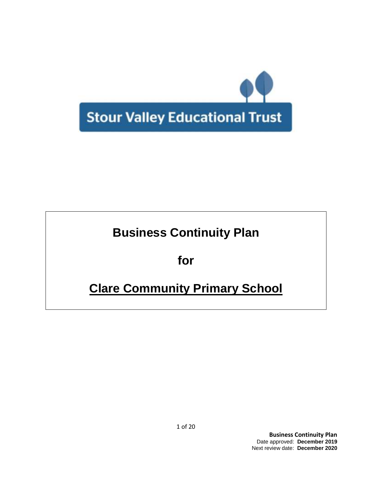

# **Business Continuity Plan**

**for**

# **Clare Community Primary School**

**Business Continuity Plan** Date approved: **December 2019** Next review date: **December 2020**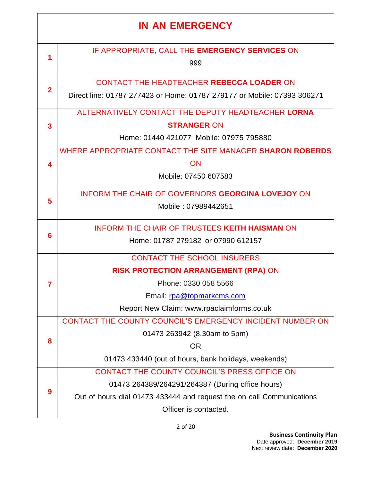# **IN AN EMERGENCY**

| 1  | IF APPROPRIATE, CALL THE EMERGENCY SERVICES ON                          |
|----|-------------------------------------------------------------------------|
|    | 999                                                                     |
|    | CONTACT THE HEADTEACHER REBECCA LOADER ON                               |
| 2  | Direct line: 01787 277423 or Home: 01787 279177 or Mobile: 07393 306271 |
|    | ALTERNATIVELY CONTACT THE DEPUTY HEADTEACHER LORNA                      |
| 3  | <b>STRANGER ON</b>                                                      |
|    | Home: 01440 421077 Mobile: 07975 795880                                 |
|    | WHERE APPROPRIATE CONTACT THE SITE MANAGER SHARON ROBERDS               |
| Δ. | <b>ON</b>                                                               |
|    | Mobile: 07450 607583                                                    |
|    |                                                                         |
| 5  | <b>INFORM THE CHAIR OF GOVERNORS GEORGINA LOVEJOY ON</b>                |
|    | Mobile: 07989442651                                                     |
|    | <b>INFORM THE CHAIR OF TRUSTEES KEITH HAISMAN ON</b>                    |
| 6  | Home: 01787 279182 or 07990 612157                                      |
|    | <b>CONTACT THE SCHOOL INSURERS</b>                                      |
|    | RISK PROTECTION ARRANGEMENT (RPA) ON                                    |
| 7  | Phone: 0330 058 5566                                                    |
|    | Email: rpa@topmarkcms.com                                               |
|    | Report New Claim: www.rpaclaimforms.co.uk                               |
|    | CONTACT THE COUNTY COUNCIL'S EMERGENCY INCIDENT NUMBER ON               |
|    | 01473 263942 (8.30am to 5pm)                                            |
| 8  | <b>OR</b>                                                               |
|    | 01473 433440 (out of hours, bank holidays, weekends)                    |
|    | CONTACT THE COUNTY COUNCIL'S PRESS OFFICE ON                            |
|    | 01473 264389/264291/264387 (During office hours)                        |
| 9  | Out of hours dial 01473 433444 and request the on call Communications   |
|    | Officer is contacted.                                                   |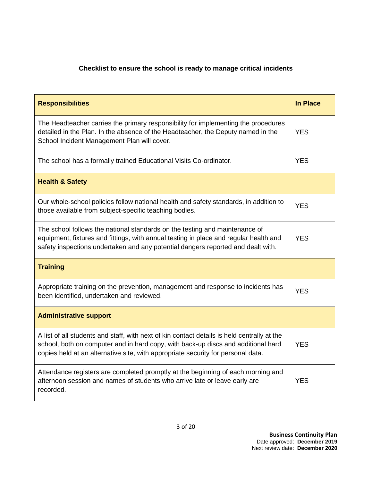# **Checklist to ensure the school is ready to manage critical incidents**

| <b>Responsibilities</b>                                                                                                                                                                                                                                              | <b>In Place</b> |
|----------------------------------------------------------------------------------------------------------------------------------------------------------------------------------------------------------------------------------------------------------------------|-----------------|
| The Headteacher carries the primary responsibility for implementing the procedures<br>detailed in the Plan. In the absence of the Headteacher, the Deputy named in the<br>School Incident Management Plan will cover.                                                | <b>YES</b>      |
| The school has a formally trained Educational Visits Co-ordinator.                                                                                                                                                                                                   | <b>YES</b>      |
| <b>Health &amp; Safety</b>                                                                                                                                                                                                                                           |                 |
| Our whole-school policies follow national health and safety standards, in addition to<br>those available from subject-specific teaching bodies.                                                                                                                      | <b>YES</b>      |
| The school follows the national standards on the testing and maintenance of<br>equipment, fixtures and fittings, with annual testing in place and regular health and<br>safety inspections undertaken and any potential dangers reported and dealt with.             | <b>YES</b>      |
| <b>Training</b>                                                                                                                                                                                                                                                      |                 |
| Appropriate training on the prevention, management and response to incidents has<br>been identified, undertaken and reviewed.                                                                                                                                        | <b>YES</b>      |
| <b>Administrative support</b>                                                                                                                                                                                                                                        |                 |
| A list of all students and staff, with next of kin contact details is held centrally at the<br>school, both on computer and in hard copy, with back-up discs and additional hard<br>copies held at an alternative site, with appropriate security for personal data. | <b>YES</b>      |
| Attendance registers are completed promptly at the beginning of each morning and<br>afternoon session and names of students who arrive late or leave early are<br>recorded.                                                                                          | <b>YES</b>      |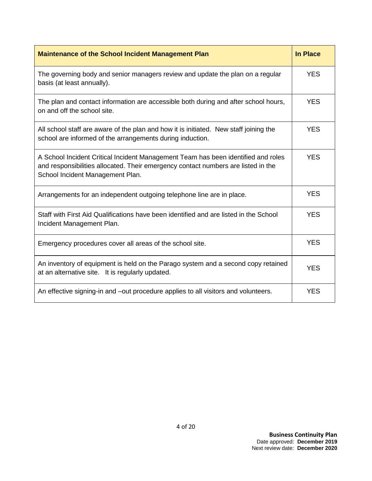| <b>Maintenance of the School Incident Management Plan</b>                                                                                                                                                  | <b>In Place</b> |
|------------------------------------------------------------------------------------------------------------------------------------------------------------------------------------------------------------|-----------------|
| The governing body and senior managers review and update the plan on a regular<br>basis (at least annually).                                                                                               | <b>YES</b>      |
| The plan and contact information are accessible both during and after school hours,<br>on and off the school site.                                                                                         | <b>YES</b>      |
| All school staff are aware of the plan and how it is initiated. New staff joining the<br>school are informed of the arrangements during induction.                                                         | <b>YES</b>      |
| A School Incident Critical Incident Management Team has been identified and roles<br>and responsibilities allocated. Their emergency contact numbers are listed in the<br>School Incident Management Plan. | <b>YES</b>      |
| Arrangements for an independent outgoing telephone line are in place.                                                                                                                                      | <b>YES</b>      |
| Staff with First Aid Qualifications have been identified and are listed in the School<br>Incident Management Plan.                                                                                         | <b>YES</b>      |
| Emergency procedures cover all areas of the school site.                                                                                                                                                   | <b>YES</b>      |
| An inventory of equipment is held on the Parago system and a second copy retained<br>at an alternative site. It is regularly updated.                                                                      | <b>YES</b>      |
| An effective signing-in and -out procedure applies to all visitors and volunteers.                                                                                                                         | <b>YES</b>      |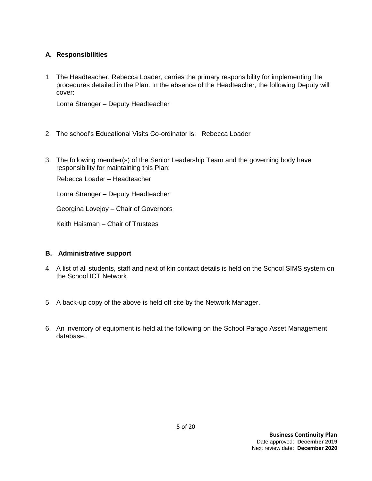#### **A. Responsibilities**

1. The Headteacher, Rebecca Loader, carries the primary responsibility for implementing the procedures detailed in the Plan. In the absence of the Headteacher, the following Deputy will cover:

Lorna Stranger – Deputy Headteacher

- 2. The school's Educational Visits Co-ordinator is: Rebecca Loader
- 3. The following member(s) of the Senior Leadership Team and the governing body have responsibility for maintaining this Plan:

Rebecca Loader – Headteacher

Lorna Stranger – Deputy Headteacher

Georgina Lovejoy – Chair of Governors

Keith Haisman – Chair of Trustees

#### **B. Administrative support**

- 4. A list of all students, staff and next of kin contact details is held on the School SIMS system on the School ICT Network.
- 5. A back-up copy of the above is held off site by the Network Manager.
- 6. An inventory of equipment is held at the following on the School Parago Asset Management database.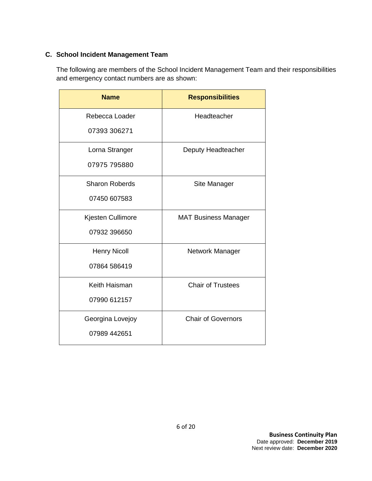### **C. School Incident Management Team**

The following are members of the School Incident Management Team and their responsibilities and emergency contact numbers are as shown:

| <b>Name</b>           | <b>Responsibilities</b>     |
|-----------------------|-----------------------------|
| Rebecca Loader        | Headteacher                 |
| 07393 306271          |                             |
| Lorna Stranger        | Deputy Headteacher          |
| 07975 795880          |                             |
| <b>Sharon Roberds</b> | Site Manager                |
| 07450 607583          |                             |
| Kjesten Cullimore     | <b>MAT Business Manager</b> |
| 07932 396650          |                             |
| <b>Henry Nicoll</b>   | Network Manager             |
| 07864 586419          |                             |
| Keith Haisman         | <b>Chair of Trustees</b>    |
| 07990 612157          |                             |
| Georgina Lovejoy      | <b>Chair of Governors</b>   |
| 07989 442651          |                             |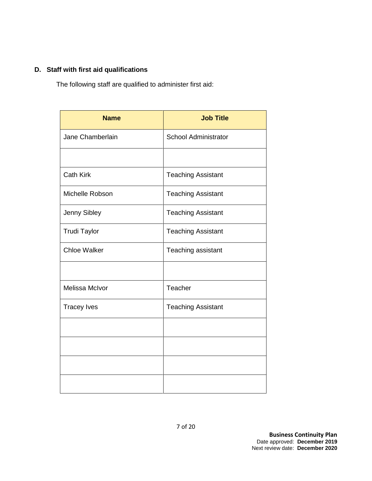### **D. Staff with first aid qualifications**

The following staff are qualified to administer first aid:

| <b>Name</b>         | <b>Job Title</b>            |
|---------------------|-----------------------------|
| Jane Chamberlain    | <b>School Administrator</b> |
|                     |                             |
| <b>Cath Kirk</b>    | <b>Teaching Assistant</b>   |
| Michelle Robson     | <b>Teaching Assistant</b>   |
| Jenny Sibley        | <b>Teaching Assistant</b>   |
| <b>Trudi Taylor</b> | <b>Teaching Assistant</b>   |
| <b>Chloe Walker</b> | Teaching assistant          |
|                     |                             |
| Melissa McIvor      | Teacher                     |
| <b>Tracey Ives</b>  | <b>Teaching Assistant</b>   |
|                     |                             |
|                     |                             |
|                     |                             |
|                     |                             |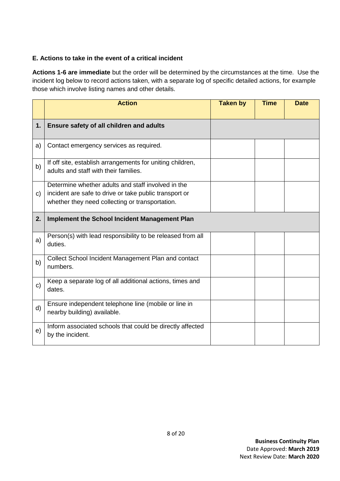#### **E. Actions to take in the event of a critical incident**

**Actions 1-6 are immediate** but the order will be determined by the circumstances at the time. Use the incident log below to record actions taken, with a separate log of specific detailed actions, for example those which involve listing names and other details.

|              | <b>Action</b>                                                                                                                                                   | <b>Taken by</b> | <b>Time</b> | <b>Date</b> |
|--------------|-----------------------------------------------------------------------------------------------------------------------------------------------------------------|-----------------|-------------|-------------|
| 1.           | Ensure safety of all children and adults                                                                                                                        |                 |             |             |
| a)           | Contact emergency services as required.                                                                                                                         |                 |             |             |
| b)           | If off site, establish arrangements for uniting children,<br>adults and staff with their families.                                                              |                 |             |             |
| c)           | Determine whether adults and staff involved in the<br>incident are safe to drive or take public transport or<br>whether they need collecting or transportation. |                 |             |             |
| 2.           | <b>Implement the School Incident Management Plan</b>                                                                                                            |                 |             |             |
| a)           | Person(s) with lead responsibility to be released from all<br>duties.                                                                                           |                 |             |             |
| b)           | Collect School Incident Management Plan and contact<br>numbers.                                                                                                 |                 |             |             |
| $\mathbf{C}$ | Keep a separate log of all additional actions, times and<br>dates.                                                                                              |                 |             |             |
| d)           | Ensure independent telephone line (mobile or line in<br>nearby building) available.                                                                             |                 |             |             |
| e)           | Inform associated schools that could be directly affected<br>by the incident.                                                                                   |                 |             |             |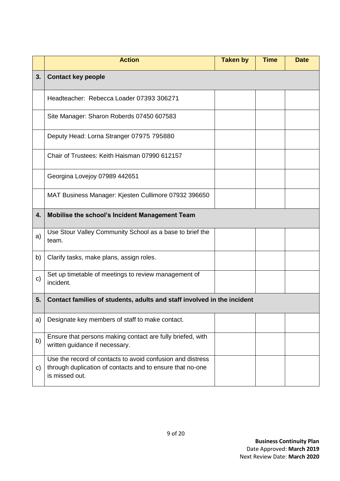|    | <b>Action</b>                                                                                                                             | <b>Taken by</b> | <b>Time</b> | <b>Date</b> |
|----|-------------------------------------------------------------------------------------------------------------------------------------------|-----------------|-------------|-------------|
| 3. | <b>Contact key people</b>                                                                                                                 |                 |             |             |
|    | Headteacher: Rebecca Loader 07393 306271                                                                                                  |                 |             |             |
|    | Site Manager: Sharon Roberds 07450 607583                                                                                                 |                 |             |             |
|    | Deputy Head: Lorna Stranger 07975 795880                                                                                                  |                 |             |             |
|    | Chair of Trustees: Keith Haisman 07990 612157                                                                                             |                 |             |             |
|    | Georgina Lovejoy 07989 442651                                                                                                             |                 |             |             |
|    | MAT Business Manager: Kjesten Cullimore 07932 396650                                                                                      |                 |             |             |
| 4. | Mobilise the school's Incident Management Team                                                                                            |                 |             |             |
| a) | Use Stour Valley Community School as a base to brief the<br>team.                                                                         |                 |             |             |
| b) | Clarify tasks, make plans, assign roles.                                                                                                  |                 |             |             |
| c) | Set up timetable of meetings to review management of<br>incident.                                                                         |                 |             |             |
| 5. | Contact families of students, adults and staff involved in the incident                                                                   |                 |             |             |
| a) | Designate key members of staff to make contact.                                                                                           |                 |             |             |
| b) | Ensure that persons making contact are fully briefed, with<br>written guidance if necessary.                                              |                 |             |             |
| C) | Use the record of contacts to avoid confusion and distress<br>through duplication of contacts and to ensure that no-one<br>is missed out. |                 |             |             |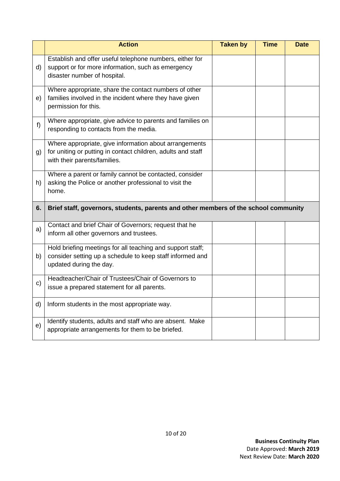|              | <b>Action</b>                                                                                                                                          | <b>Taken by</b> | <b>Time</b> | <b>Date</b> |
|--------------|--------------------------------------------------------------------------------------------------------------------------------------------------------|-----------------|-------------|-------------|
| d)           | Establish and offer useful telephone numbers, either for<br>support or for more information, such as emergency<br>disaster number of hospital.         |                 |             |             |
| e)           | Where appropriate, share the contact numbers of other<br>families involved in the incident where they have given<br>permission for this.               |                 |             |             |
| $f$ )        | Where appropriate, give advice to parents and families on<br>responding to contacts from the media.                                                    |                 |             |             |
| g)           | Where appropriate, give information about arrangements<br>for uniting or putting in contact children, adults and staff<br>with their parents/families. |                 |             |             |
| h)           | Where a parent or family cannot be contacted, consider<br>asking the Police or another professional to visit the<br>home.                              |                 |             |             |
| 6.           | Brief staff, governors, students, parents and other members of the school community                                                                    |                 |             |             |
| a)           | Contact and brief Chair of Governors; request that he<br>inform all other governors and trustees.                                                      |                 |             |             |
| b)           | Hold briefing meetings for all teaching and support staff;<br>consider setting up a schedule to keep staff informed and<br>updated during the day.     |                 |             |             |
| $\mathbf{C}$ | Headteacher/Chair of Trustees/Chair of Governors to<br>issue a prepared statement for all parents.                                                     |                 |             |             |
| d)           | Inform students in the most appropriate way.                                                                                                           |                 |             |             |
| e)           | Identify students, adults and staff who are absent. Make<br>appropriate arrangements for them to be briefed.                                           |                 |             |             |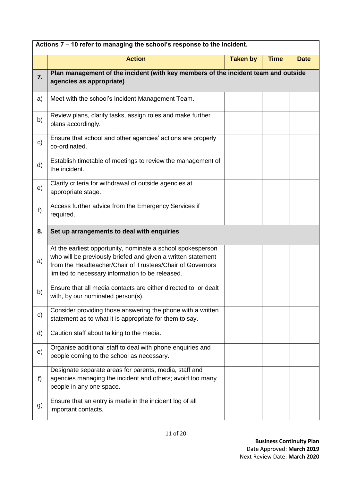| Actions 7 - 10 refer to managing the school's response to the incident. |                                                                                                                                                                                                                                              |                 |             |             |
|-------------------------------------------------------------------------|----------------------------------------------------------------------------------------------------------------------------------------------------------------------------------------------------------------------------------------------|-----------------|-------------|-------------|
|                                                                         | <b>Action</b>                                                                                                                                                                                                                                | <b>Taken by</b> | <b>Time</b> | <b>Date</b> |
| 7.                                                                      | Plan management of the incident (with key members of the incident team and outside<br>agencies as appropriate)                                                                                                                               |                 |             |             |
| a)                                                                      | Meet with the school's Incident Management Team.                                                                                                                                                                                             |                 |             |             |
| b)                                                                      | Review plans, clarify tasks, assign roles and make further<br>plans accordingly.                                                                                                                                                             |                 |             |             |
| c)                                                                      | Ensure that school and other agencies' actions are properly<br>co-ordinated.                                                                                                                                                                 |                 |             |             |
| d)                                                                      | Establish timetable of meetings to review the management of<br>the incident.                                                                                                                                                                 |                 |             |             |
| e)                                                                      | Clarify criteria for withdrawal of outside agencies at<br>appropriate stage.                                                                                                                                                                 |                 |             |             |
| f)                                                                      | Access further advice from the Emergency Services if<br>required.                                                                                                                                                                            |                 |             |             |
| 8.                                                                      | Set up arrangements to deal with enquiries                                                                                                                                                                                                   |                 |             |             |
| a)                                                                      | At the earliest opportunity, nominate a school spokesperson<br>who will be previously briefed and given a written statement<br>from the Headteacher/Chair of Trustees/Chair of Governors<br>limited to necessary information to be released. |                 |             |             |
| b)                                                                      | Ensure that all media contacts are either directed to, or dealt<br>with, by our nominated person(s).                                                                                                                                         |                 |             |             |
| c)                                                                      | Consider providing those answering the phone with a written<br>statement as to what it is appropriate for them to say.                                                                                                                       |                 |             |             |
| d)                                                                      | Caution staff about talking to the media.                                                                                                                                                                                                    |                 |             |             |
| e)                                                                      | Organise additional staff to deal with phone enquiries and<br>people coming to the school as necessary.                                                                                                                                      |                 |             |             |
| f)                                                                      | Designate separate areas for parents, media, staff and<br>agencies managing the incident and others; avoid too many<br>people in any one space.                                                                                              |                 |             |             |
| g)                                                                      | Ensure that an entry is made in the incident log of all<br>important contacts.                                                                                                                                                               |                 |             |             |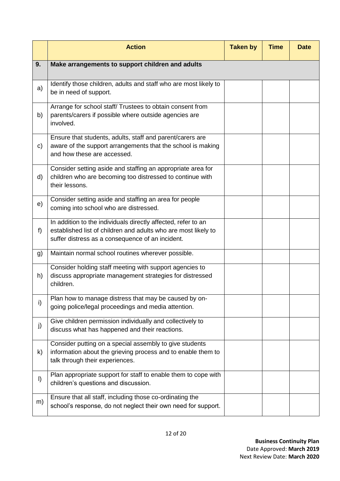|         | <b>Action</b>                                                                                                                                                                       | <b>Taken by</b> | <b>Time</b> | <b>Date</b> |
|---------|-------------------------------------------------------------------------------------------------------------------------------------------------------------------------------------|-----------------|-------------|-------------|
| 9.      | Make arrangements to support children and adults                                                                                                                                    |                 |             |             |
| a)      | Identify those children, adults and staff who are most likely to<br>be in need of support.                                                                                          |                 |             |             |
| b)      | Arrange for school staff/ Trustees to obtain consent from<br>parents/carers if possible where outside agencies are<br>involved.                                                     |                 |             |             |
| c)      | Ensure that students, adults, staff and parent/carers are<br>aware of the support arrangements that the school is making<br>and how these are accessed.                             |                 |             |             |
| d)      | Consider setting aside and staffing an appropriate area for<br>children who are becoming too distressed to continue with<br>their lessons.                                          |                 |             |             |
| e)      | Consider setting aside and staffing an area for people<br>coming into school who are distressed.                                                                                    |                 |             |             |
| f)      | In addition to the individuals directly affected, refer to an<br>established list of children and adults who are most likely to<br>suffer distress as a consequence of an incident. |                 |             |             |
| g)      | Maintain normal school routines wherever possible.                                                                                                                                  |                 |             |             |
| h)      | Consider holding staff meeting with support agencies to<br>discuss appropriate management strategies for distressed<br>children.                                                    |                 |             |             |
| i)      | Plan how to manage distress that may be caused by on-<br>going police/legal proceedings and media attention.                                                                        |                 |             |             |
| j)      | Give children permission individually and collectively to<br>discuss what has happened and their reactions.                                                                         |                 |             |             |
| k)      | Consider putting on a special assembly to give students<br>information about the grieving process and to enable them to<br>talk through their experiences.                          |                 |             |             |
| $\vert$ | Plan appropriate support for staff to enable them to cope with<br>children's questions and discussion.                                                                              |                 |             |             |
| m)      | Ensure that all staff, including those co-ordinating the<br>school's response, do not neglect their own need for support.                                                           |                 |             |             |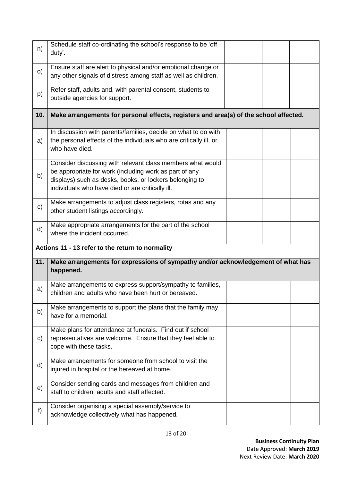| n)           | Schedule staff co-ordinating the school's response to be 'off<br>duty'.                                                                                                                                                             |  |  |
|--------------|-------------------------------------------------------------------------------------------------------------------------------------------------------------------------------------------------------------------------------------|--|--|
| O)           | Ensure staff are alert to physical and/or emotional change or<br>any other signals of distress among staff as well as children.                                                                                                     |  |  |
| p)           | Refer staff, adults and, with parental consent, students to<br>outside agencies for support.                                                                                                                                        |  |  |
| 10.          | Make arrangements for personal effects, registers and area(s) of the school affected.                                                                                                                                               |  |  |
| a)           | In discussion with parents/families, decide on what to do with<br>the personal effects of the individuals who are critically ill, or<br>who have died.                                                                              |  |  |
| b)           | Consider discussing with relevant class members what would<br>be appropriate for work (including work as part of any<br>displays) such as desks, books, or lockers belonging to<br>individuals who have died or are critically ill. |  |  |
| $\mathbf{C}$ | Make arrangements to adjust class registers, rotas and any<br>other student listings accordingly.                                                                                                                                   |  |  |
| d)           | Make appropriate arrangements for the part of the school<br>where the incident occurred.                                                                                                                                            |  |  |
|              | Actions 11 - 13 refer to the return to normality                                                                                                                                                                                    |  |  |
|              |                                                                                                                                                                                                                                     |  |  |
| 11.          | Make arrangements for expressions of sympathy and/or acknowledgement of what has<br>happened.                                                                                                                                       |  |  |
| a)           | Make arrangements to express support/sympathy to families,<br>children and adults who have been hurt or bereaved.                                                                                                                   |  |  |
| b)           | Make arrangements to support the plans that the family may<br>have for a memorial.                                                                                                                                                  |  |  |
| C)           | Make plans for attendance at funerals. Find out if school<br>representatives are welcome. Ensure that they feel able to<br>cope with these tasks.                                                                                   |  |  |
| d)           | Make arrangements for someone from school to visit the<br>injured in hospital or the bereaved at home.                                                                                                                              |  |  |
| e)           | Consider sending cards and messages from children and<br>staff to children, adults and staff affected.                                                                                                                              |  |  |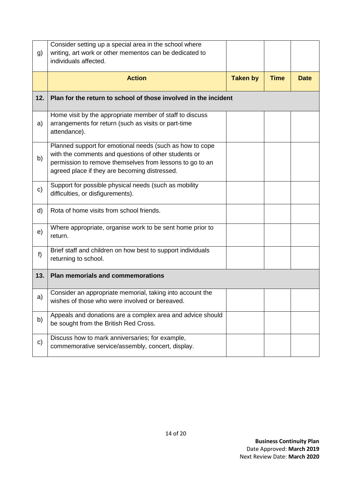| g)  | Consider setting up a special area in the school where<br>writing, art work or other mementos can be dedicated to<br>individuals affected.                                                                                    |                 |             |             |
|-----|-------------------------------------------------------------------------------------------------------------------------------------------------------------------------------------------------------------------------------|-----------------|-------------|-------------|
|     | <b>Action</b>                                                                                                                                                                                                                 | <b>Taken by</b> | <b>Time</b> | <b>Date</b> |
| 12. | Plan for the return to school of those involved in the incident                                                                                                                                                               |                 |             |             |
| a)  | Home visit by the appropriate member of staff to discuss<br>arrangements for return (such as visits or part-time<br>attendance).                                                                                              |                 |             |             |
| b)  | Planned support for emotional needs (such as how to cope<br>with the comments and questions of other students or<br>permission to remove themselves from lessons to go to an<br>agreed place if they are becoming distressed. |                 |             |             |
| c)  | Support for possible physical needs (such as mobility<br>difficulties, or disfigurements).                                                                                                                                    |                 |             |             |
| d)  | Rota of home visits from school friends.                                                                                                                                                                                      |                 |             |             |
| e)  | Where appropriate, organise work to be sent home prior to<br>return.                                                                                                                                                          |                 |             |             |
| f)  | Brief staff and children on how best to support individuals<br>returning to school.                                                                                                                                           |                 |             |             |
| 13. | <b>Plan memorials and commemorations</b>                                                                                                                                                                                      |                 |             |             |
| a)  | Consider an appropriate memorial, taking into account the<br>wishes of those who were involved or bereaved.                                                                                                                   |                 |             |             |
| b)  | Appeals and donations are a complex area and advice should<br>be sought from the British Red Cross.                                                                                                                           |                 |             |             |
| c)  | Discuss how to mark anniversaries; for example,<br>commemorative service/assembly, concert, display.                                                                                                                          |                 |             |             |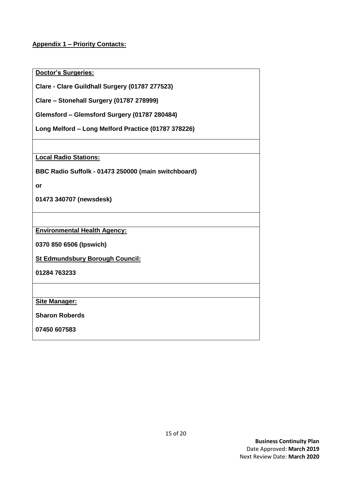**Appendix 1 – Priority Contacts:**

**Doctor's Surgeries:**

**Clare - Clare Guildhall Surgery (01787 277523)**

**Clare – Stonehall Surgery (01787 278999)**

**Glemsford – Glemsford Surgery (01787 280484)**

**Long Melford – Long Melford Practice (01787 378226)**

**Local Radio Stations:**

**BBC Radio Suffolk - 01473 250000 (main switchboard)** 

**or** 

**01473 340707 (newsdesk)**

**Environmental Health Agency:**

**0370 850 6506 (Ipswich)**

**St Edmundsbury Borough Council:**

**01284 763233** 

**Site Manager:**

**Sharon Roberds** 

**07450 607583**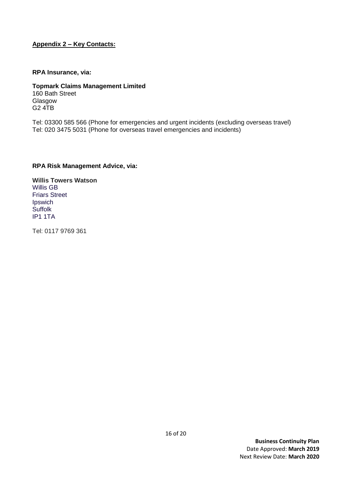#### **Appendix 2 – Key Contacts:**

#### **RPA Insurance, via:**

**Topmark Claims Management Limited** 160 Bath Street Glasgow G2 4TB

Tel: 03300 585 566 (Phone for emergencies and urgent incidents (excluding overseas travel) Tel: 020 3475 5031 (Phone for overseas travel emergencies and incidents)

#### **RPA Risk Management Advice, via:**

**Willis Towers Watson** Willis GB Friars Street **Ipswich Suffolk** IP1 1TA

Tel: 0117 9769 361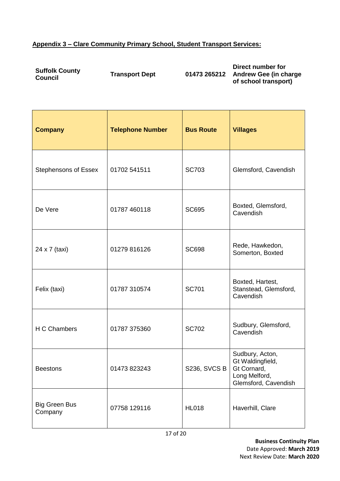# **Appendix 3 – Clare Community Primary School, Student Transport Services:**

| <b>Suffolk County</b><br>Council | <b>Transport Dept</b> | 01473 265212 | Direct number for            |
|----------------------------------|-----------------------|--------------|------------------------------|
|                                  |                       |              | <b>Andrew Gee (in charge</b> |
|                                  |                       |              | of school transport)         |

| <b>Company</b>                  | <b>Telephone Number</b> | <b>Bus Route</b>    | <b>Villages</b>                                                                             |
|---------------------------------|-------------------------|---------------------|---------------------------------------------------------------------------------------------|
| <b>Stephensons of Essex</b>     | 01702 541511            | <b>SC703</b>        | Glemsford, Cavendish                                                                        |
| De Vere                         | 01787 460118            | <b>SC695</b>        | Boxted, Glemsford,<br>Cavendish                                                             |
| 24 x 7 (taxi)                   | 01279 816126            | <b>SC698</b>        | Rede, Hawkedon,<br>Somerton, Boxted                                                         |
| Felix (taxi)                    | 01787 310574            | <b>SC701</b>        | Boxted, Hartest,<br>Stanstead, Glemsford,<br>Cavendish                                      |
| H C Chambers                    | 01787 375360            | <b>SC702</b>        | Sudbury, Glemsford,<br>Cavendish                                                            |
| <b>Beestons</b>                 | 01473 823243            | <b>S236, SVCS B</b> | Sudbury, Acton,<br>Gt Waldingfield,<br>Gt Cornard,<br>Long Melford,<br>Glemsford, Cavendish |
| <b>Big Green Bus</b><br>Company | 07758 129116            | <b>HL018</b>        | Haverhill, Clare                                                                            |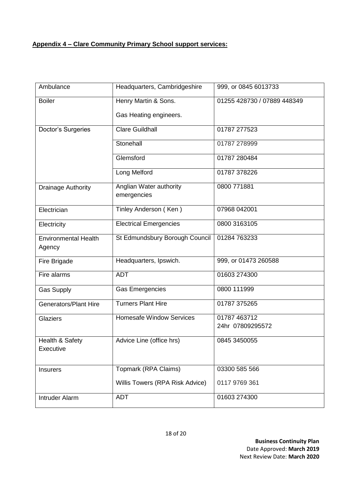## **Appendix 4 – Clare Community Primary School support services:**

| Ambulance                             | Headquarters, Cambridgeshire           | 999, or 0845 6013733             |
|---------------------------------------|----------------------------------------|----------------------------------|
| <b>Boiler</b>                         | Henry Martin & Sons.                   | 01255 428730 / 07889 448349      |
|                                       | Gas Heating engineers.                 |                                  |
| Doctor's Surgeries                    | <b>Clare Guildhall</b>                 | 01787 277523                     |
|                                       | Stonehall                              | 01787 278999                     |
|                                       | Glemsford                              | 01787 280484                     |
|                                       | Long Melford                           | 01787 378226                     |
| Drainage Authority                    | Anglian Water authority<br>emergencies | 0800 771881                      |
| Electrician                           | Tinley Anderson (Ken)                  | 07968 042001                     |
| Electricity                           | <b>Electrical Emergencies</b>          | 0800 3163105                     |
| <b>Environmental Health</b><br>Agency | St Edmundsbury Borough Council         | 01284 763233                     |
| Fire Brigade                          | Headquarters, Ipswich.                 | 999, or 01473 260588             |
| Fire alarms                           | <b>ADT</b>                             | 01603 274300                     |
| <b>Gas Supply</b>                     | <b>Gas Emergencies</b>                 | 0800 111999                      |
| <b>Generators/Plant Hire</b>          | <b>Turners Plant Hire</b>              | 01787 375265                     |
| <b>Glaziers</b>                       | <b>Homesafe Window Services</b>        | 01787 463712<br>24hr 07809295572 |
| Health & Safety<br>Executive          | Advice Line (office hrs)               | 0845 3450055                     |
| <b>Insurers</b>                       | Topmark (RPA Claims)                   | 03300 585 566                    |
|                                       | Willis Towers (RPA Risk Advice)        | 0117 9769 361                    |
| <b>Intruder Alarm</b>                 | <b>ADT</b>                             | 01603 274300                     |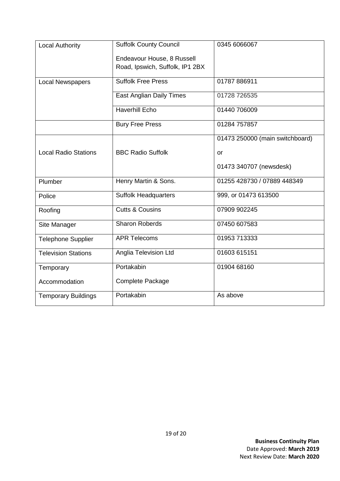| <b>Local Authority</b>      | <b>Suffolk County Council</b>   | 0345 6066067                    |
|-----------------------------|---------------------------------|---------------------------------|
|                             | Endeavour House, 8 Russell      |                                 |
|                             | Road, Ipswich, Suffolk, IP1 2BX |                                 |
| <b>Local Newspapers</b>     | <b>Suffolk Free Press</b>       | 01787 886911                    |
|                             | East Anglian Daily Times        | 01728 726535                    |
|                             | <b>Haverhill Echo</b>           | 01440 706009                    |
|                             | <b>Bury Free Press</b>          | 01284 757857                    |
|                             |                                 | 01473 250000 (main switchboard) |
| <b>Local Radio Stations</b> | <b>BBC Radio Suffolk</b>        | or                              |
|                             |                                 | 01473 340707 (newsdesk)         |
| Plumber                     | Henry Martin & Sons.            | 01255 428730 / 07889 448349     |
| Police                      | <b>Suffolk Headquarters</b>     | 999, or 01473 613500            |
| Roofing                     | <b>Cutts &amp; Cousins</b>      | 07909 902245                    |
| Site Manager                | <b>Sharon Roberds</b>           | 07450 607583                    |
| <b>Telephone Supplier</b>   | <b>APR Telecoms</b>             | 01953 713333                    |
| <b>Television Stations</b>  | Anglia Television Ltd           | 01603 615151                    |
| Temporary                   | Portakabin                      | 01904 68160                     |
| Accommodation               | <b>Complete Package</b>         |                                 |
| <b>Temporary Buildings</b>  | Portakabin                      | As above                        |